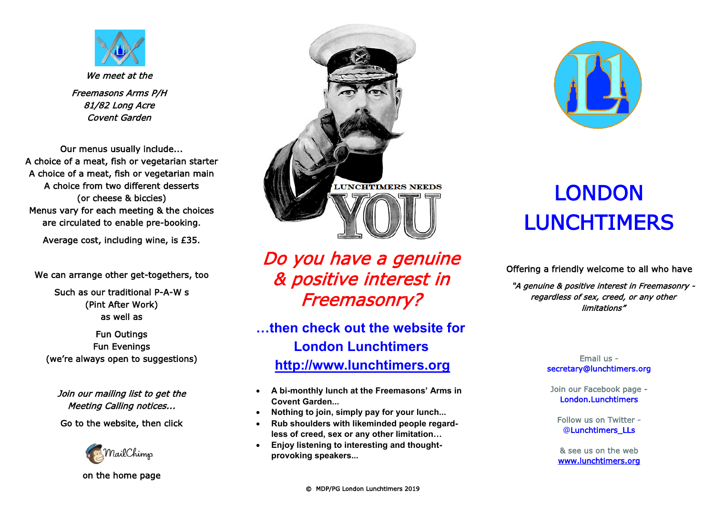

We meet at the Freemasons Arms P/H 81/82 Long Acre Covent Garden

Our menus usually include... A choice of a meat, fish or vegetarian starter A choice of a meat, fish or vegetarian main A choice from two different desserts (or cheese & biccies) Menus vary for each meeting & the choices are circulated to enable pre-booking.

Average cost, including wine, is £35.

We can arrange other get-togethers, too

Such as our traditional P-A-W s (Pint After Work) as well as

Fun Outings Fun Evenings (we're always open to suggestions)

Join our mailing list to get the Meeting Calling notices...

Go to the website, then click



on the home page



Do you have a genuine & positive interest in Freemasonry?

**…then check out the website for London Lunchtimers <http://www.lunchtimers.org>**

- **A bi-monthly lunch at the Freemasons' Arms in Covent Garden...**
- **Nothing to join, simply pay for your lunch...**
- **Rub shoulders with likeminded people regardless of creed, sex or any other limitation…**
- **Enjoy listening to interesting and thoughtprovoking speakers...**



# **LONDON** LUNCHTIMERS

Offering a friendly welcome to all who have

"A genuine & positive interest in Freemasonry regardless of sex, creed, or any other limitations"

#### Email us secretary@lunchtimers.org

Join our Facebook page - London.Lunchtimers

Follow us on Twitter - [@Lunchtimers\\_LLs](https://twitter.com/Lunchtimers_LLs)

& see us on the web www.lunchtimers.org